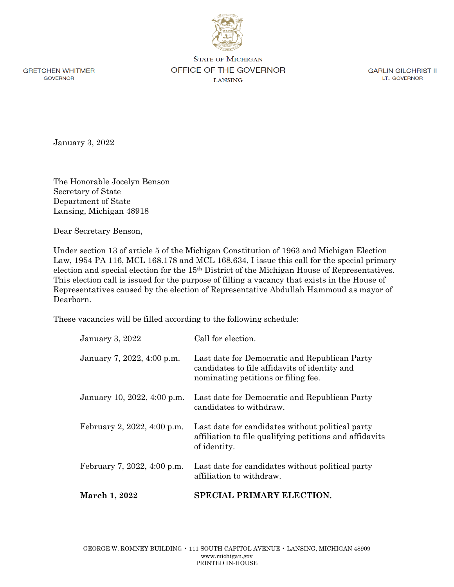**GRETCHEN WHITMER GOVERNOR** 

**STATE OF MICHIGAN** OFFICE OF THE GOVERNOR **LANSING** 

**GARLIN GILCHRIST II** LT. GOVERNOR

January 3, 2022

The Honorable Jocelyn Benson Secretary of State Department of State Lansing, Michigan 48918

Dear Secretary Benson,

Under section 13 of article 5 of the Michigan Constitution of 1963 and Michigan Election Law, 1954 PA 116, MCL 168.178 and MCL 168.634, I issue this call for the special primary election and special election for the 15th District of the Michigan House of Representatives. This election call is issued for the purpose of filling a vacancy that exists in the House of Representatives caused by the election of Representative Abdullah Hammoud as mayor of Dearborn.

These vacancies will be filled according to the following schedule:

| March 1, 2022               | SPECIAL PRIMARY ELECTION.                                                                                                             |
|-----------------------------|---------------------------------------------------------------------------------------------------------------------------------------|
| February 7, 2022, 4:00 p.m. | Last date for candidates without political party<br>affiliation to withdraw.                                                          |
| February 2, 2022, 4:00 p.m. | Last date for candidates without political party<br>affiliation to file qualifying petitions and affidavits<br>of identity.           |
| January 10, 2022, 4:00 p.m. | Last date for Democratic and Republican Party<br>candidates to withdraw.                                                              |
| January 7, 2022, 4:00 p.m.  | Last date for Democratic and Republican Party<br>candidates to file affidavits of identity and<br>nominating petitions or filing fee. |
| <b>January 3, 2022</b>      | Call for election.                                                                                                                    |